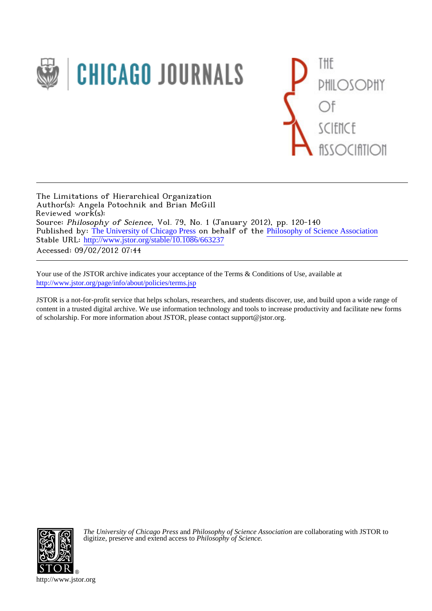



The Limitations of Hierarchical Organization Author(s): Angela Potochnik and Brian McGill  $Reviewed work(s):$ Source: Philosophy of Science, Vol. 79, No. 1 (January 2012), pp. 120-140 Published by: [The University of Chicago Press](http://www.jstor.org/action/showPublisher?publisherCode=ucpress) on behalf of the [Philosophy of Science Association](http://www.jstor.org/action/showPublisher?publisherCode=psa) Stable URL: http://www.jstor.org/stable/10.1086/663237 Accessed: 09/02/2012 07:44

Your use of the JSTOR archive indicates your acceptance of the Terms & Conditions of Use, available at <http://www.jstor.org/page/info/about/policies/terms.jsp>

JSTOR is a not-for-profit service that helps scholars, researchers, and students discover, use, and build upon a wide range of content in a trusted digital archive. We use information technology and tools to increase productivity and facilitate new forms of scholarship. For more information about JSTOR, please contact support@jstor.org.



*The University of Chicago Press* and *Philosophy of Science Association* are collaborating with JSTOR to digitize, preserve and extend access to *Philosophy of Science.*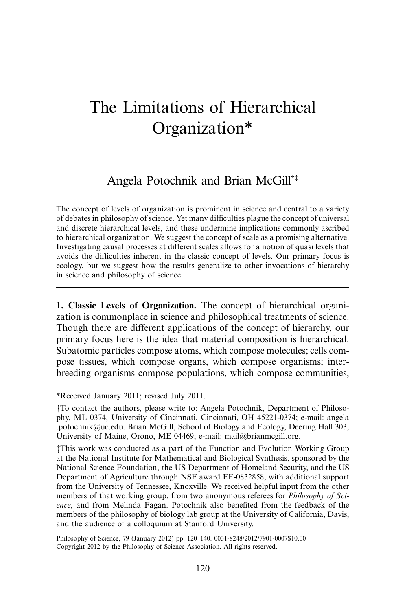## The Limitations of Hierarchical Organization\*

Angela Potochnik and Brian McGill†‡

The concept of levels of organization is prominent in science and central to a variety of debates in philosophy of science. Yet many difficulties plague the concept of universal and discrete hierarchical levels, and these undermine implications commonly ascribed to hierarchical organization. We suggest the concept of scale as a promising alternative. Investigating causal processes at different scales allows for a notion of quasi levels that avoids the difficulties inherent in the classic concept of levels. Our primary focus is ecology, but we suggest how the results generalize to other invocations of hierarchy in science and philosophy of science.

**1. Classic Levels of Organization.** The concept of hierarchical organization is commonplace in science and philosophical treatments of science. Though there are different applications of the concept of hierarchy, our primary focus here is the idea that material composition is hierarchical. Subatomic particles compose atoms, which compose molecules; cells compose tissues, which compose organs, which compose organisms; interbreeding organisms compose populations, which compose communities,

\*Received January 2011; revised July 2011.

†To contact the authors, please write to: Angela Potochnik, Department of Philosophy, ML 0374, University of Cincinnati, Cincinnati, OH 45221-0374; e-mail: [angela](mailto:angela.potochnik@uc.edu) [.potochnik@uc.edu.](mailto:angela.potochnik@uc.edu) Brian McGill, School of Biology and Ecology, Deering Hall 303, University of Maine, Orono, ME 04469; e-mail: [mail@brianmcgill.org.](mailto:mail@brianmcgill.org)

‡This work was conducted as a part of the Function and Evolution Working Group at the National Institute for Mathematical and Biological Synthesis, sponsored by the National Science Foundation, the US Department of Homeland Security, and the US Department of Agriculture through NSF award EF-0832858, with additional support from the University of Tennessee, Knoxville. We received helpful input from the other members of that working group, from two anonymous referees for *Philosophy of Science*, and from Melinda Fagan. Potochnik also benefited from the feedback of the members of the philosophy of biology lab group at the University of California, Davis, and the audience of a colloquium at Stanford University.

Philosophy of Science, 79 (January 2012) pp. 120–140. 0031-8248/2012/7901-0007\$10.00 Copyright 2012 by the Philosophy of Science Association. All rights reserved.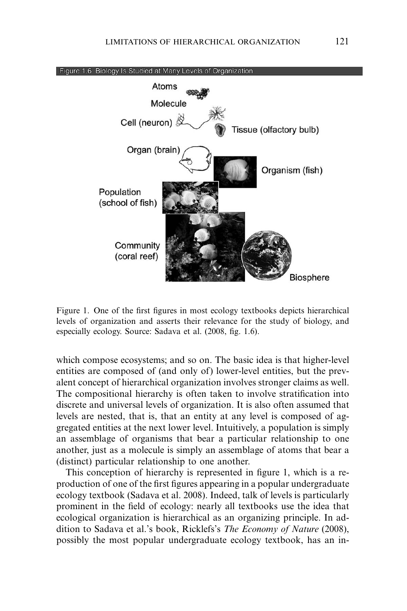

Figure 1. One of the first figures in most ecology textbooks depicts hierarchical levels of organization and asserts their relevance for the study of biology, and especially ecology. Source: Sadava et al. (2008, fig. 1.6).

which compose ecosystems; and so on. The basic idea is that higher-level entities are composed of (and only of) lower-level entities, but the prevalent concept of hierarchical organization involves stronger claims as well. The compositional hierarchy is often taken to involve stratification into discrete and universal levels of organization. It is also often assumed that levels are nested, that is, that an entity at any level is composed of aggregated entities at the next lower level. Intuitively, a population is simply an assemblage of organisms that bear a particular relationship to one another, just as a molecule is simply an assemblage of atoms that bear a (distinct) particular relationship to one another.

This conception of hierarchy is represented in figure 1, which is a reproduction of one of the first figures appearing in a popular undergraduate ecology textbook (Sadava et al. 2008). Indeed, talk of levels is particularly prominent in the field of ecology: nearly all textbooks use the idea that ecological organization is hierarchical as an organizing principle. In addition to Sadava et al.'s book, Ricklefs's *The Economy of Nature* (2008), possibly the most popular undergraduate ecology textbook, has an in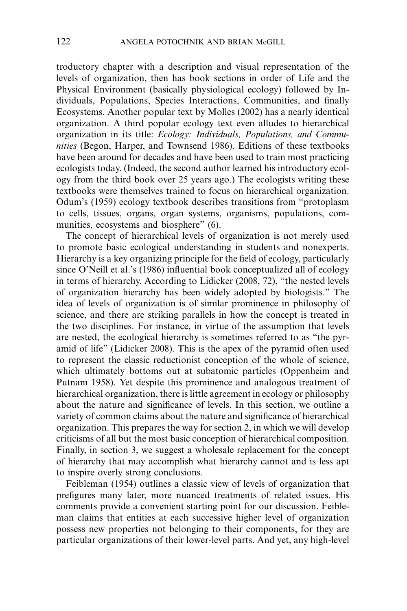troductory chapter with a description and visual representation of the levels of organization, then has book sections in order of Life and the Physical Environment (basically physiological ecology) followed by Individuals, Populations, Species Interactions, Communities, and finally Ecosystems. Another popular text by Molles (2002) has a nearly identical organization. A third popular ecology text even alludes to hierarchical organization in its title: *Ecology: Individuals, Populations, and Communities* (Begon, Harper, and Townsend 1986). Editions of these textbooks have been around for decades and have been used to train most practicing ecologists today. (Indeed, the second author learned his introductory ecology from the third book over 25 years ago.) The ecologists writing these textbooks were themselves trained to focus on hierarchical organization. Odum's (1959) ecology textbook describes transitions from "protoplasm to cells, tissues, organs, organ systems, organisms, populations, communities, ecosystems and biosphere" (6).

The concept of hierarchical levels of organization is not merely used to promote basic ecological understanding in students and nonexperts. Hierarchy is a key organizing principle for the field of ecology, particularly since O'Neill et al.'s (1986) influential book conceptualized all of ecology in terms of hierarchy. According to Lidicker (2008, 72), "the nested levels of organization hierarchy has been widely adopted by biologists." The idea of levels of organization is of similar prominence in philosophy of science, and there are striking parallels in how the concept is treated in the two disciplines. For instance, in virtue of the assumption that levels are nested, the ecological hierarchy is sometimes referred to as "the pyramid of life" (Lidicker 2008). This is the apex of the pyramid often used to represent the classic reductionist conception of the whole of science, which ultimately bottoms out at subatomic particles (Oppenheim and Putnam 1958). Yet despite this prominence and analogous treatment of hierarchical organization, there is little agreement in ecology or philosophy about the nature and significance of levels. In this section, we outline a variety of common claims about the nature and significance of hierarchical organization. This prepares the way for section 2, in which we will develop criticisms of all but the most basic conception of hierarchical composition. Finally, in section 3, we suggest a wholesale replacement for the concept of hierarchy that may accomplish what hierarchy cannot and is less apt to inspire overly strong conclusions.

Feibleman (1954) outlines a classic view of levels of organization that prefigures many later, more nuanced treatments of related issues. His comments provide a convenient starting point for our discussion. Feibleman claims that entities at each successive higher level of organization possess new properties not belonging to their components, for they are particular organizations of their lower-level parts. And yet, any high-level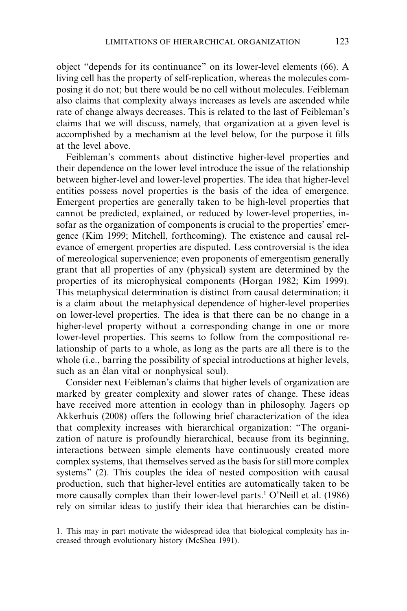object "depends for its continuance" on its lower-level elements (66). A living cell has the property of self-replication, whereas the molecules composing it do not; but there would be no cell without molecules. Feibleman also claims that complexity always increases as levels are ascended while rate of change always decreases. This is related to the last of Feibleman's claims that we will discuss, namely, that organization at a given level is accomplished by a mechanism at the level below, for the purpose it fills at the level above.

Feibleman's comments about distinctive higher-level properties and their dependence on the lower level introduce the issue of the relationship between higher-level and lower-level properties. The idea that higher-level entities possess novel properties is the basis of the idea of emergence. Emergent properties are generally taken to be high-level properties that cannot be predicted, explained, or reduced by lower-level properties, insofar as the organization of components is crucial to the properties' emergence (Kim 1999; Mitchell, forthcoming). The existence and causal relevance of emergent properties are disputed. Less controversial is the idea of mereological supervenience; even proponents of emergentism generally grant that all properties of any (physical) system are determined by the properties of its microphysical components (Horgan 1982; Kim 1999). This metaphysical determination is distinct from causal determination; it is a claim about the metaphysical dependence of higher-level properties on lower-level properties. The idea is that there can be no change in a higher-level property without a corresponding change in one or more lower-level properties. This seems to follow from the compositional relationship of parts to a whole, as long as the parts are all there is to the whole (*i.e.*, barring the possibility of special introductions at higher levels, such as an élan vital or nonphysical soul).

Consider next Feibleman's claims that higher levels of organization are marked by greater complexity and slower rates of change. These ideas have received more attention in ecology than in philosophy. Jagers op Akkerhuis (2008) offers the following brief characterization of the idea that complexity increases with hierarchical organization: "The organization of nature is profoundly hierarchical, because from its beginning, interactions between simple elements have continuously created more complex systems, that themselves served as the basis for still more complex systems" (2). This couples the idea of nested composition with causal production, such that higher-level entities are automatically taken to be more causally complex than their lower-level parts.<sup>1</sup> O'Neill et al. (1986) rely on similar ideas to justify their idea that hierarchies can be distin-

1. This may in part motivate the widespread idea that biological complexity has increased through evolutionary history (McShea 1991).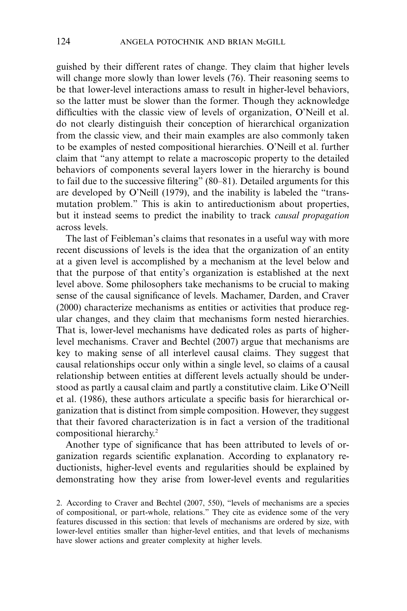guished by their different rates of change. They claim that higher levels will change more slowly than lower levels (76). Their reasoning seems to be that lower-level interactions amass to result in higher-level behaviors, so the latter must be slower than the former. Though they acknowledge difficulties with the classic view of levels of organization, O'Neill et al. do not clearly distinguish their conception of hierarchical organization from the classic view, and their main examples are also commonly taken to be examples of nested compositional hierarchies. O'Neill et al. further claim that "any attempt to relate a macroscopic property to the detailed behaviors of components several layers lower in the hierarchy is bound to fail due to the successive filtering" (80–81). Detailed arguments for this are developed by O'Neill (1979), and the inability is labeled the "transmutation problem." This is akin to antireductionism about properties, but it instead seems to predict the inability to track *causal propagation* across levels.

The last of Feibleman's claims that resonates in a useful way with more recent discussions of levels is the idea that the organization of an entity at a given level is accomplished by a mechanism at the level below and that the purpose of that entity's organization is established at the next level above. Some philosophers take mechanisms to be crucial to making sense of the causal significance of levels. Machamer, Darden, and Craver (2000) characterize mechanisms as entities or activities that produce regular changes, and they claim that mechanisms form nested hierarchies. That is, lower-level mechanisms have dedicated roles as parts of higherlevel mechanisms. Craver and Bechtel (2007) argue that mechanisms are key to making sense of all interlevel causal claims. They suggest that causal relationships occur only within a single level, so claims of a causal relationship between entities at different levels actually should be understood as partly a causal claim and partly a constitutive claim. Like O'Neill et al. (1986), these authors articulate a specific basis for hierarchical organization that is distinct from simple composition. However, they suggest that their favored characterization is in fact a version of the traditional compositional hierarchy.2

Another type of significance that has been attributed to levels of organization regards scientific explanation. According to explanatory reductionists, higher-level events and regularities should be explained by demonstrating how they arise from lower-level events and regularities

<sup>2.</sup> According to Craver and Bechtel (2007, 550), "levels of mechanisms are a species of compositional, or part-whole, relations." They cite as evidence some of the very features discussed in this section: that levels of mechanisms are ordered by size, with lower-level entities smaller than higher-level entities, and that levels of mechanisms have slower actions and greater complexity at higher levels.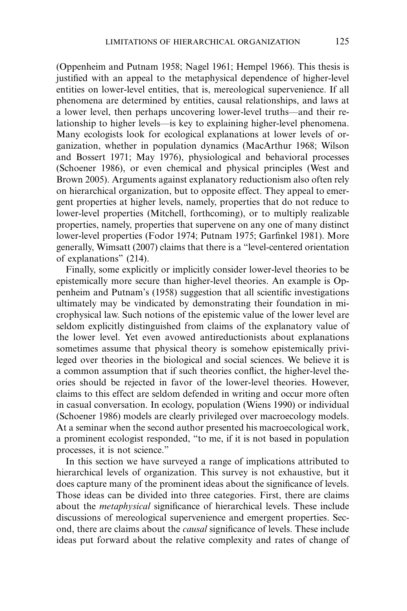(Oppenheim and Putnam 1958; Nagel 1961; Hempel 1966). This thesis is justified with an appeal to the metaphysical dependence of higher-level entities on lower-level entities, that is, mereological supervenience. If all phenomena are determined by entities, causal relationships, and laws at a lower level, then perhaps uncovering lower-level truths—and their relationship to higher levels—is key to explaining higher-level phenomena. Many ecologists look for ecological explanations at lower levels of organization, whether in population dynamics (MacArthur 1968; Wilson and Bossert 1971; May 1976), physiological and behavioral processes (Schoener 1986), or even chemical and physical principles (West and Brown 2005). Arguments against explanatory reductionism also often rely on hierarchical organization, but to opposite effect. They appeal to emergent properties at higher levels, namely, properties that do not reduce to lower-level properties (Mitchell, forthcoming), or to multiply realizable properties, namely, properties that supervene on any one of many distinct lower-level properties (Fodor 1974; Putnam 1975; Garfinkel 1981). More generally, Wimsatt (2007) claims that there is a "level-centered orientation of explanations" (214).

Finally, some explicitly or implicitly consider lower-level theories to be epistemically more secure than higher-level theories. An example is Oppenheim and Putnam's (1958) suggestion that all scientific investigations ultimately may be vindicated by demonstrating their foundation in microphysical law. Such notions of the epistemic value of the lower level are seldom explicitly distinguished from claims of the explanatory value of the lower level. Yet even avowed antireductionists about explanations sometimes assume that physical theory is somehow epistemically privileged over theories in the biological and social sciences. We believe it is a common assumption that if such theories conflict, the higher-level theories should be rejected in favor of the lower-level theories. However, claims to this effect are seldom defended in writing and occur more often in casual conversation. In ecology, population (Wiens 1990) or individual (Schoener 1986) models are clearly privileged over macroecology models. At a seminar when the second author presented his macroecological work, a prominent ecologist responded, "to me, if it is not based in population processes, it is not science."

In this section we have surveyed a range of implications attributed to hierarchical levels of organization. This survey is not exhaustive, but it does capture many of the prominent ideas about the significance of levels. Those ideas can be divided into three categories. First, there are claims about the *metaphysical* significance of hierarchical levels. These include discussions of mereological supervenience and emergent properties. Second, there are claims about the *causal* significance of levels. These include ideas put forward about the relative complexity and rates of change of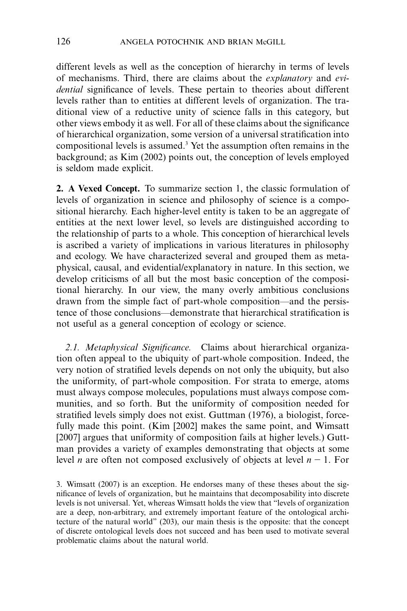different levels as well as the conception of hierarchy in terms of levels of mechanisms. Third, there are claims about the *explanatory* and *evidential* significance of levels. These pertain to theories about different levels rather than to entities at different levels of organization. The traditional view of a reductive unity of science falls in this category, but other views embody it as well. For all of these claims about the significance of hierarchical organization, some version of a universal stratification into compositional levels is assumed.<sup>3</sup> Yet the assumption often remains in the background; as Kim (2002) points out, the conception of levels employed is seldom made explicit.

**2. A Vexed Concept.** To summarize section 1, the classic formulation of levels of organization in science and philosophy of science is a compositional hierarchy. Each higher-level entity is taken to be an aggregate of entities at the next lower level, so levels are distinguished according to the relationship of parts to a whole. This conception of hierarchical levels is ascribed a variety of implications in various literatures in philosophy and ecology. We have characterized several and grouped them as metaphysical, causal, and evidential/explanatory in nature. In this section, we develop criticisms of all but the most basic conception of the compositional hierarchy. In our view, the many overly ambitious conclusions drawn from the simple fact of part-whole composition—and the persistence of those conclusions—demonstrate that hierarchical stratification is not useful as a general conception of ecology or science.

*2.1. Metaphysical Significance.* Claims about hierarchical organization often appeal to the ubiquity of part-whole composition. Indeed, the very notion of stratified levels depends on not only the ubiquity, but also the uniformity, of part-whole composition. For strata to emerge, atoms must always compose molecules, populations must always compose communities, and so forth. But the uniformity of composition needed for stratified levels simply does not exist. Guttman (1976), a biologist, forcefully made this point. (Kim [2002] makes the same point, and Wimsatt [2007] argues that uniformity of composition fails at higher levels.) Guttman provides a variety of examples demonstrating that objects at some level *n* are often not composed exclusively of objects at level  $n - 1$ . For

<sup>3.</sup> Wimsatt (2007) is an exception. He endorses many of these theses about the significance of levels of organization, but he maintains that decomposability into discrete levels is not universal. Yet, whereas Wimsatt holds the view that "levels of organization are a deep, non-arbitrary, and extremely important feature of the ontological architecture of the natural world" (203), our main thesis is the opposite: that the concept of discrete ontological levels does not succeed and has been used to motivate several problematic claims about the natural world.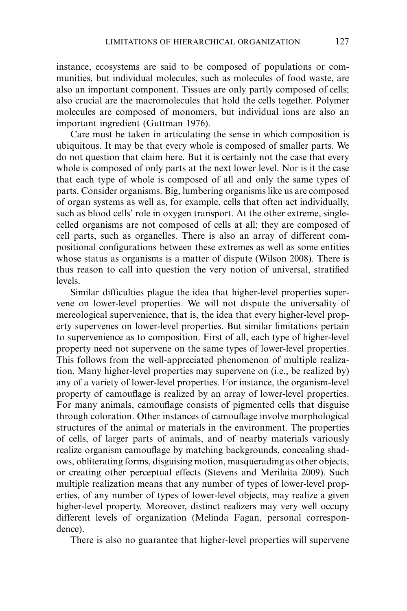instance, ecosystems are said to be composed of populations or communities, but individual molecules, such as molecules of food waste, are also an important component. Tissues are only partly composed of cells; also crucial are the macromolecules that hold the cells together. Polymer molecules are composed of monomers, but individual ions are also an important ingredient (Guttman 1976).

Care must be taken in articulating the sense in which composition is ubiquitous. It may be that every whole is composed of smaller parts. We do not question that claim here. But it is certainly not the case that every whole is composed of only parts at the next lower level. Nor is it the case that each type of whole is composed of all and only the same types of parts. Consider organisms. Big, lumbering organisms like us are composed of organ systems as well as, for example, cells that often act individually, such as blood cells' role in oxygen transport. At the other extreme, singlecelled organisms are not composed of cells at all; they are composed of cell parts, such as organelles. There is also an array of different compositional configurations between these extremes as well as some entities whose status as organisms is a matter of dispute (Wilson 2008). There is thus reason to call into question the very notion of universal, stratified levels.

Similar difficulties plague the idea that higher-level properties supervene on lower-level properties. We will not dispute the universality of mereological supervenience, that is, the idea that every higher-level property supervenes on lower-level properties. But similar limitations pertain to supervenience as to composition. First of all, each type of higher-level property need not supervene on the same types of lower-level properties. This follows from the well-appreciated phenomenon of multiple realization. Many higher-level properties may supervene on (i.e., be realized by) any of a variety of lower-level properties. For instance, the organism-level property of camouflage is realized by an array of lower-level properties. For many animals, camouflage consists of pigmented cells that disguise through coloration. Other instances of camouflage involve morphological structures of the animal or materials in the environment. The properties of cells, of larger parts of animals, and of nearby materials variously realize organism camouflage by matching backgrounds, concealing shadows, obliterating forms, disguising motion, masquerading as other objects, or creating other perceptual effects (Stevens and Merilaita 2009). Such multiple realization means that any number of types of lower-level properties, of any number of types of lower-level objects, may realize a given higher-level property. Moreover, distinct realizers may very well occupy different levels of organization (Melinda Fagan, personal correspondence).

There is also no guarantee that higher-level properties will supervene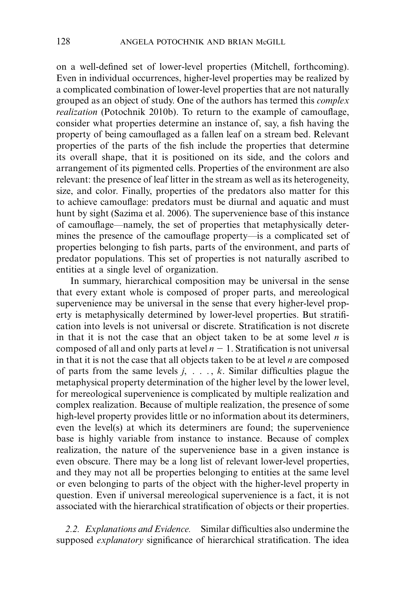on a well-defined set of lower-level properties (Mitchell, forthcoming). Even in individual occurrences, higher-level properties may be realized by a complicated combination of lower-level properties that are not naturally grouped as an object of study. One of the authors has termed this *complex realization* (Potochnik 2010b). To return to the example of camouflage, consider what properties determine an instance of, say, a fish having the property of being camouflaged as a fallen leaf on a stream bed. Relevant properties of the parts of the fish include the properties that determine its overall shape, that it is positioned on its side, and the colors and arrangement of its pigmented cells. Properties of the environment are also relevant: the presence of leaf litter in the stream as well as its heterogeneity, size, and color. Finally, properties of the predators also matter for this to achieve camouflage: predators must be diurnal and aquatic and must hunt by sight (Sazima et al. 2006). The supervenience base of this instance of camouflage—namely, the set of properties that metaphysically determines the presence of the camouflage property—is a complicated set of properties belonging to fish parts, parts of the environment, and parts of predator populations. This set of properties is not naturally ascribed to entities at a single level of organization.

In summary, hierarchical composition may be universal in the sense that every extant whole is composed of proper parts, and mereological supervenience may be universal in the sense that every higher-level property is metaphysically determined by lower-level properties. But stratification into levels is not universal or discrete. Stratification is not discrete in that it is not the case that an object taken to be at some level *n* is composed of all and only parts at level  $n - 1$ . Stratification is not universal in that it is not the case that all objects taken to be at level *n* are composed of parts from the same levels  $j, \ldots, k$ . Similar difficulties plague the metaphysical property determination of the higher level by the lower level, for mereological supervenience is complicated by multiple realization and complex realization. Because of multiple realization, the presence of some high-level property provides little or no information about its determiners, even the level(s) at which its determiners are found; the supervenience base is highly variable from instance to instance. Because of complex realization, the nature of the supervenience base in a given instance is even obscure. There may be a long list of relevant lower-level properties, and they may not all be properties belonging to entities at the same level or even belonging to parts of the object with the higher-level property in question. Even if universal mereological supervenience is a fact, it is not associated with the hierarchical stratification of objects or their properties.

*2.2. Explanations and Evidence.* Similar difficulties also undermine the supposed *explanatory* significance of hierarchical stratification. The idea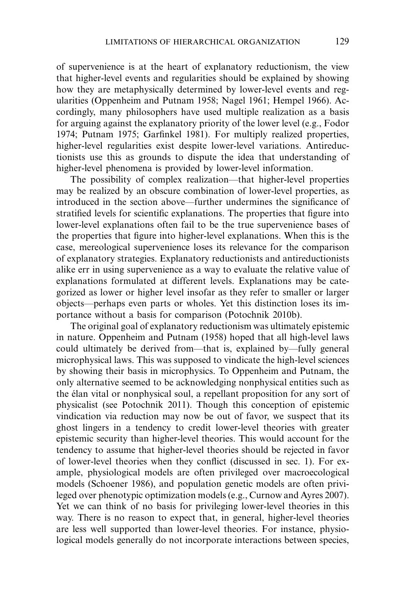of supervenience is at the heart of explanatory reductionism, the view that higher-level events and regularities should be explained by showing how they are metaphysically determined by lower-level events and regularities (Oppenheim and Putnam 1958; Nagel 1961; Hempel 1966). Accordingly, many philosophers have used multiple realization as a basis for arguing against the explanatory priority of the lower level (e.g., Fodor 1974; Putnam 1975; Garfinkel 1981). For multiply realized properties, higher-level regularities exist despite lower-level variations. Antireductionists use this as grounds to dispute the idea that understanding of higher-level phenomena is provided by lower-level information.

The possibility of complex realization—that higher-level properties may be realized by an obscure combination of lower-level properties, as introduced in the section above—further undermines the significance of stratified levels for scientific explanations. The properties that figure into lower-level explanations often fail to be the true supervenience bases of the properties that figure into higher-level explanations. When this is the case, mereological supervenience loses its relevance for the comparison of explanatory strategies. Explanatory reductionists and antireductionists alike err in using supervenience as a way to evaluate the relative value of explanations formulated at different levels. Explanations may be categorized as lower or higher level insofar as they refer to smaller or larger objects—perhaps even parts or wholes. Yet this distinction loses its importance without a basis for comparison (Potochnik 2010b).

The original goal of explanatory reductionism was ultimately epistemic in nature. Oppenheim and Putnam (1958) hoped that all high-level laws could ultimately be derived from—that is, explained by—fully general microphysical laws. This was supposed to vindicate the high-level sciences by showing their basis in microphysics. To Oppenheim and Putnam, the only alternative seemed to be acknowledging nonphysical entities such as the élan vital or nonphysical soul, a repellant proposition for any sort of physicalist (see Potochnik 2011). Though this conception of epistemic vindication via reduction may now be out of favor, we suspect that its ghost lingers in a tendency to credit lower-level theories with greater epistemic security than higher-level theories. This would account for the tendency to assume that higher-level theories should be rejected in favor of lower-level theories when they conflict (discussed in sec. 1). For example, physiological models are often privileged over macroecological models (Schoener 1986), and population genetic models are often privileged over phenotypic optimization models (e.g., Curnow and Ayres 2007). Yet we can think of no basis for privileging lower-level theories in this way. There is no reason to expect that, in general, higher-level theories are less well supported than lower-level theories. For instance, physiological models generally do not incorporate interactions between species,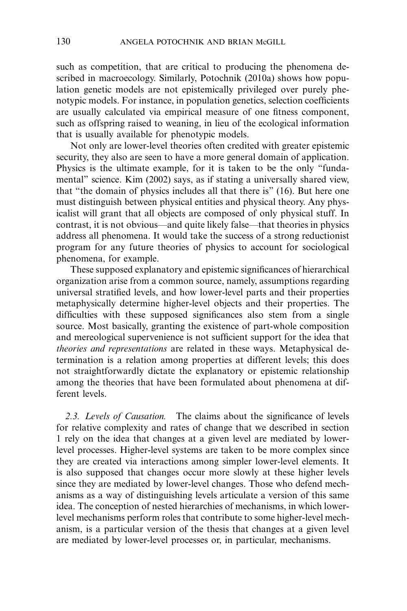such as competition, that are critical to producing the phenomena described in macroecology. Similarly, Potochnik (2010a) shows how population genetic models are not epistemically privileged over purely phenotypic models. For instance, in population genetics, selection coefficients are usually calculated via empirical measure of one fitness component, such as offspring raised to weaning, in lieu of the ecological information that is usually available for phenotypic models.

Not only are lower-level theories often credited with greater epistemic security, they also are seen to have a more general domain of application. Physics is the ultimate example, for it is taken to be the only "fundamental" science. Kim (2002) says, as if stating a universally shared view, that "the domain of physics includes all that there is" (16). But here one must distinguish between physical entities and physical theory. Any physicalist will grant that all objects are composed of only physical stuff. In contrast, it is not obvious—and quite likely false—that theories in physics address all phenomena. It would take the success of a strong reductionist program for any future theories of physics to account for sociological phenomena, for example.

These supposed explanatory and epistemic significances of hierarchical organization arise from a common source, namely, assumptions regarding universal stratified levels, and how lower-level parts and their properties metaphysically determine higher-level objects and their properties. The difficulties with these supposed significances also stem from a single source. Most basically, granting the existence of part-whole composition and mereological supervenience is not sufficient support for the idea that *theories and representations* are related in these ways. Metaphysical determination is a relation among properties at different levels; this does not straightforwardly dictate the explanatory or epistemic relationship among the theories that have been formulated about phenomena at different levels.

*2.3. Levels of Causation.* The claims about the significance of levels for relative complexity and rates of change that we described in section 1 rely on the idea that changes at a given level are mediated by lowerlevel processes. Higher-level systems are taken to be more complex since they are created via interactions among simpler lower-level elements. It is also supposed that changes occur more slowly at these higher levels since they are mediated by lower-level changes. Those who defend mechanisms as a way of distinguishing levels articulate a version of this same idea. The conception of nested hierarchies of mechanisms, in which lowerlevel mechanisms perform roles that contribute to some higher-level mechanism, is a particular version of the thesis that changes at a given level are mediated by lower-level processes or, in particular, mechanisms.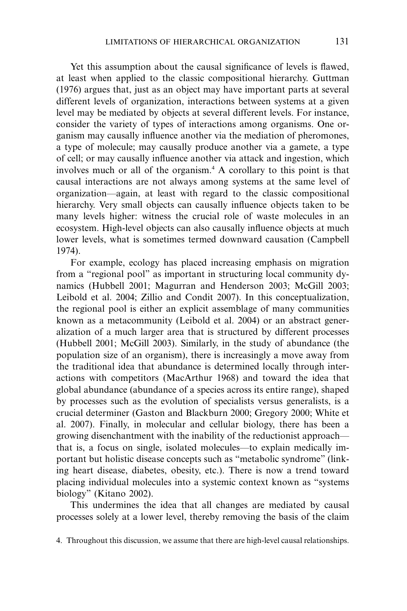Yet this assumption about the causal significance of levels is flawed, at least when applied to the classic compositional hierarchy. Guttman (1976) argues that, just as an object may have important parts at several different levels of organization, interactions between systems at a given level may be mediated by objects at several different levels. For instance, consider the variety of types of interactions among organisms. One organism may causally influence another via the mediation of pheromones, a type of molecule; may causally produce another via a gamete, a type of cell; or may causally influence another via attack and ingestion, which involves much or all of the organism.<sup>4</sup> A corollary to this point is that causal interactions are not always among systems at the same level of organization—again, at least with regard to the classic compositional hierarchy. Very small objects can causally influence objects taken to be many levels higher: witness the crucial role of waste molecules in an ecosystem. High-level objects can also causally influence objects at much lower levels, what is sometimes termed downward causation (Campbell 1974).

For example, ecology has placed increasing emphasis on migration from a "regional pool" as important in structuring local community dynamics (Hubbell 2001; Magurran and Henderson 2003; McGill 2003; Leibold et al. 2004; Zillio and Condit 2007). In this conceptualization, the regional pool is either an explicit assemblage of many communities known as a metacommunity (Leibold et al. 2004) or an abstract generalization of a much larger area that is structured by different processes (Hubbell 2001; McGill 2003). Similarly, in the study of abundance (the population size of an organism), there is increasingly a move away from the traditional idea that abundance is determined locally through interactions with competitors (MacArthur 1968) and toward the idea that global abundance (abundance of a species across its entire range), shaped by processes such as the evolution of specialists versus generalists, is a crucial determiner (Gaston and Blackburn 2000; Gregory 2000; White et al. 2007). Finally, in molecular and cellular biology, there has been a growing disenchantment with the inability of the reductionist approach that is, a focus on single, isolated molecules—to explain medically important but holistic disease concepts such as "metabolic syndrome" (linking heart disease, diabetes, obesity, etc.). There is now a trend toward placing individual molecules into a systemic context known as "systems biology" (Kitano 2002).

This undermines the idea that all changes are mediated by causal processes solely at a lower level, thereby removing the basis of the claim

4. Throughout this discussion, we assume that there are high-level causal relationships.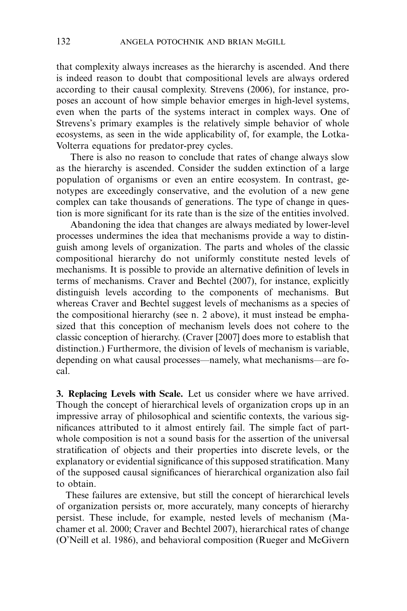that complexity always increases as the hierarchy is ascended. And there is indeed reason to doubt that compositional levels are always ordered according to their causal complexity. Strevens (2006), for instance, proposes an account of how simple behavior emerges in high-level systems, even when the parts of the systems interact in complex ways. One of Strevens's primary examples is the relatively simple behavior of whole ecosystems, as seen in the wide applicability of, for example, the Lotka-Volterra equations for predator-prey cycles.

There is also no reason to conclude that rates of change always slow as the hierarchy is ascended. Consider the sudden extinction of a large population of organisms or even an entire ecosystem. In contrast, genotypes are exceedingly conservative, and the evolution of a new gene complex can take thousands of generations. The type of change in question is more significant for its rate than is the size of the entities involved.

Abandoning the idea that changes are always mediated by lower-level processes undermines the idea that mechanisms provide a way to distinguish among levels of organization. The parts and wholes of the classic compositional hierarchy do not uniformly constitute nested levels of mechanisms. It is possible to provide an alternative definition of levels in terms of mechanisms. Craver and Bechtel (2007), for instance, explicitly distinguish levels according to the components of mechanisms. But whereas Craver and Bechtel suggest levels of mechanisms as a species of the compositional hierarchy (see n. 2 above), it must instead be emphasized that this conception of mechanism levels does not cohere to the classic conception of hierarchy. (Craver [2007] does more to establish that distinction.) Furthermore, the division of levels of mechanism is variable, depending on what causal processes—namely, what mechanisms—are focal.

**3. Replacing Levels with Scale.** Let us consider where we have arrived. Though the concept of hierarchical levels of organization crops up in an impressive array of philosophical and scientific contexts, the various significances attributed to it almost entirely fail. The simple fact of partwhole composition is not a sound basis for the assertion of the universal stratification of objects and their properties into discrete levels, or the explanatory or evidential significance of this supposed stratification. Many of the supposed causal significances of hierarchical organization also fail to obtain.

These failures are extensive, but still the concept of hierarchical levels of organization persists or, more accurately, many concepts of hierarchy persist. These include, for example, nested levels of mechanism (Machamer et al. 2000; Craver and Bechtel 2007), hierarchical rates of change (O'Neill et al. 1986), and behavioral composition (Rueger and McGivern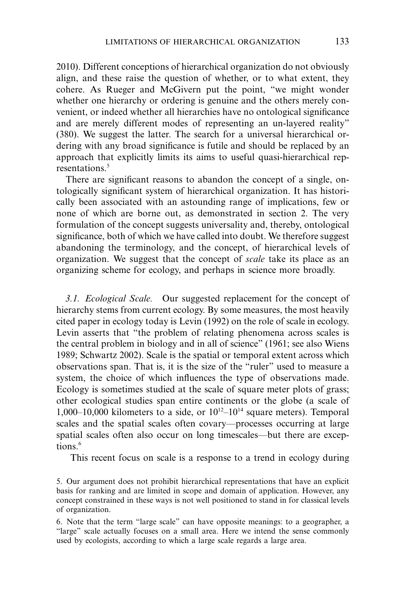2010). Different conceptions of hierarchical organization do not obviously align, and these raise the question of whether, or to what extent, they cohere. As Rueger and McGivern put the point, "we might wonder whether one hierarchy or ordering is genuine and the others merely convenient, or indeed whether all hierarchies have no ontological significance and are merely different modes of representing an un-layered reality" (380). We suggest the latter. The search for a universal hierarchical ordering with any broad significance is futile and should be replaced by an approach that explicitly limits its aims to useful quasi-hierarchical representations<sup>5</sup>

There are significant reasons to abandon the concept of a single, ontologically significant system of hierarchical organization. It has historically been associated with an astounding range of implications, few or none of which are borne out, as demonstrated in section 2. The very formulation of the concept suggests universality and, thereby, ontological significance, both of which we have called into doubt. We therefore suggest abandoning the terminology, and the concept, of hierarchical levels of organization. We suggest that the concept of *scale* take its place as an organizing scheme for ecology, and perhaps in science more broadly.

*3.1. Ecological Scale.* Our suggested replacement for the concept of hierarchy stems from current ecology. By some measures, the most heavily cited paper in ecology today is Levin (1992) on the role of scale in ecology. Levin asserts that "the problem of relating phenomena across scales is the central problem in biology and in all of science" (1961; see also Wiens 1989; Schwartz 2002). Scale is the spatial or temporal extent across which observations span. That is, it is the size of the "ruler" used to measure a system, the choice of which influences the type of observations made. Ecology is sometimes studied at the scale of square meter plots of grass; other ecological studies span entire continents or the globe (a scale of 1,000–10,000 kilometers to a side, or  $10^{12}$ – $10^{14}$  square meters). Temporal scales and the spatial scales often covary—processes occurring at large spatial scales often also occur on long timescales—but there are exceptions.<sup>6</sup>

This recent focus on scale is a response to a trend in ecology during

5. Our argument does not prohibit hierarchical representations that have an explicit basis for ranking and are limited in scope and domain of application. However, any concept constrained in these ways is not well positioned to stand in for classical levels of organization.

6. Note that the term "large scale" can have opposite meanings: to a geographer, a "large" scale actually focuses on a small area. Here we intend the sense commonly used by ecologists, according to which a large scale regards a large area.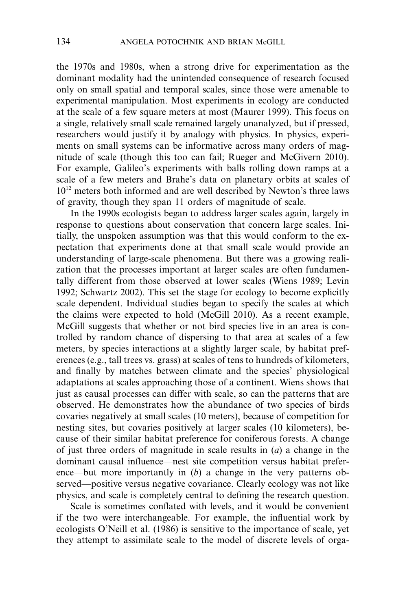the 1970s and 1980s, when a strong drive for experimentation as the dominant modality had the unintended consequence of research focused only on small spatial and temporal scales, since those were amenable to experimental manipulation. Most experiments in ecology are conducted at the scale of a few square meters at most (Maurer 1999). This focus on a single, relatively small scale remained largely unanalyzed, but if pressed, researchers would justify it by analogy with physics. In physics, experiments on small systems can be informative across many orders of magnitude of scale (though this too can fail; Rueger and McGivern 2010). For example, Galileo's experiments with balls rolling down ramps at a scale of a few meters and Brahe's data on planetary orbits at scales of 1012 meters both informed and are well described by Newton's three laws of gravity, though they span 11 orders of magnitude of scale.

In the 1990s ecologists began to address larger scales again, largely in response to questions about conservation that concern large scales. Initially, the unspoken assumption was that this would conform to the expectation that experiments done at that small scale would provide an understanding of large-scale phenomena. But there was a growing realization that the processes important at larger scales are often fundamentally different from those observed at lower scales (Wiens 1989; Levin 1992; Schwartz 2002). This set the stage for ecology to become explicitly scale dependent. Individual studies began to specify the scales at which the claims were expected to hold (McGill 2010). As a recent example, McGill suggests that whether or not bird species live in an area is controlled by random chance of dispersing to that area at scales of a few meters, by species interactions at a slightly larger scale, by habitat preferences (e.g., tall trees vs. grass) at scales of tens to hundreds of kilometers, and finally by matches between climate and the species' physiological adaptations at scales approaching those of a continent. Wiens shows that just as causal processes can differ with scale, so can the patterns that are observed. He demonstrates how the abundance of two species of birds covaries negatively at small scales (10 meters), because of competition for nesting sites, but covaries positively at larger scales (10 kilometers), because of their similar habitat preference for coniferous forests. A change of just three orders of magnitude in scale results in (*a*) a change in the dominant causal influence—nest site competition versus habitat preference—but more importantly in (*b*) a change in the very patterns observed—positive versus negative covariance. Clearly ecology was not like physics, and scale is completely central to defining the research question.

Scale is sometimes conflated with levels, and it would be convenient if the two were interchangeable. For example, the influential work by ecologists O'Neill et al. (1986) is sensitive to the importance of scale, yet they attempt to assimilate scale to the model of discrete levels of orga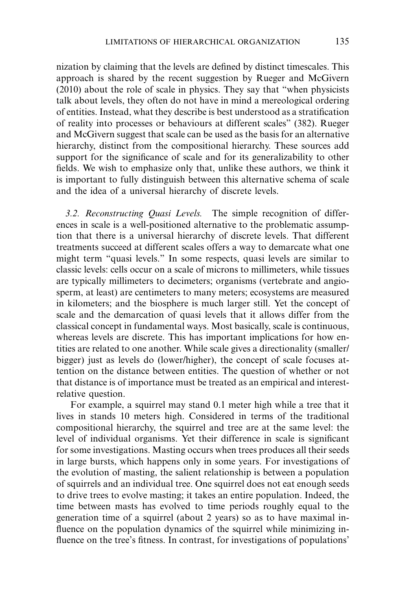nization by claiming that the levels are defined by distinct timescales. This approach is shared by the recent suggestion by Rueger and McGivern (2010) about the role of scale in physics. They say that "when physicists talk about levels, they often do not have in mind a mereological ordering of entities. Instead, what they describe is best understood as a stratification of reality into processes or behaviours at different scales" (382). Rueger and McGivern suggest that scale can be used as the basis for an alternative hierarchy, distinct from the compositional hierarchy. These sources add support for the significance of scale and for its generalizability to other fields. We wish to emphasize only that, unlike these authors, we think it is important to fully distinguish between this alternative schema of scale and the idea of a universal hierarchy of discrete levels.

*3.2. Reconstructing Quasi Levels.* The simple recognition of differences in scale is a well-positioned alternative to the problematic assumption that there is a universal hierarchy of discrete levels. That different treatments succeed at different scales offers a way to demarcate what one might term "quasi levels." In some respects, quasi levels are similar to classic levels: cells occur on a scale of microns to millimeters, while tissues are typically millimeters to decimeters; organisms (vertebrate and angiosperm, at least) are centimeters to many meters; ecosystems are measured in kilometers; and the biosphere is much larger still. Yet the concept of scale and the demarcation of quasi levels that it allows differ from the classical concept in fundamental ways. Most basically, scale is continuous, whereas levels are discrete. This has important implications for how entities are related to one another. While scale gives a directionality (smaller/ bigger) just as levels do (lower/higher), the concept of scale focuses attention on the distance between entities. The question of whether or not that distance is of importance must be treated as an empirical and interestrelative question.

For example, a squirrel may stand 0.1 meter high while a tree that it lives in stands 10 meters high. Considered in terms of the traditional compositional hierarchy, the squirrel and tree are at the same level: the level of individual organisms. Yet their difference in scale is significant for some investigations. Masting occurs when trees produces all their seeds in large bursts, which happens only in some years. For investigations of the evolution of masting, the salient relationship is between a population of squirrels and an individual tree. One squirrel does not eat enough seeds to drive trees to evolve masting; it takes an entire population. Indeed, the time between masts has evolved to time periods roughly equal to the generation time of a squirrel (about 2 years) so as to have maximal influence on the population dynamics of the squirrel while minimizing influence on the tree's fitness. In contrast, for investigations of populations'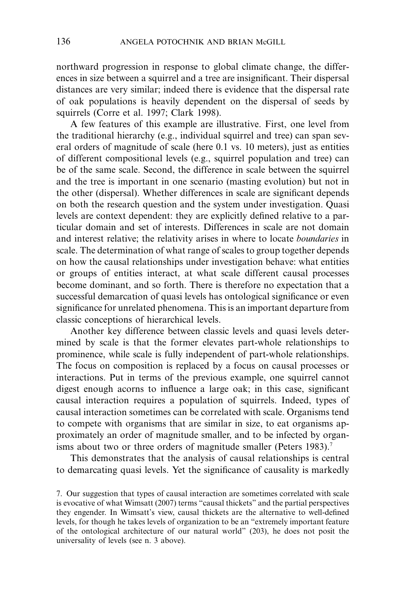northward progression in response to global climate change, the differences in size between a squirrel and a tree are insignificant. Their dispersal distances are very similar; indeed there is evidence that the dispersal rate of oak populations is heavily dependent on the dispersal of seeds by squirrels (Corre et al. 1997; Clark 1998).

A few features of this example are illustrative. First, one level from the traditional hierarchy (e.g., individual squirrel and tree) can span several orders of magnitude of scale (here 0.1 vs. 10 meters), just as entities of different compositional levels (e.g., squirrel population and tree) can be of the same scale. Second, the difference in scale between the squirrel and the tree is important in one scenario (masting evolution) but not in the other (dispersal). Whether differences in scale are significant depends on both the research question and the system under investigation. Quasi levels are context dependent: they are explicitly defined relative to a particular domain and set of interests. Differences in scale are not domain and interest relative; the relativity arises in where to locate *boundaries* in scale. The determination of what range of scales to group together depends on how the causal relationships under investigation behave: what entities or groups of entities interact, at what scale different causal processes become dominant, and so forth. There is therefore no expectation that a successful demarcation of quasi levels has ontological significance or even significance for unrelated phenomena. This is an important departure from classic conceptions of hierarchical levels.

Another key difference between classic levels and quasi levels determined by scale is that the former elevates part-whole relationships to prominence, while scale is fully independent of part-whole relationships. The focus on composition is replaced by a focus on causal processes or interactions. Put in terms of the previous example, one squirrel cannot digest enough acorns to influence a large oak; in this case, significant causal interaction requires a population of squirrels. Indeed, types of causal interaction sometimes can be correlated with scale. Organisms tend to compete with organisms that are similar in size, to eat organisms approximately an order of magnitude smaller, and to be infected by organisms about two or three orders of magnitude smaller (Peters 1983).<sup>7</sup>

This demonstrates that the analysis of causal relationships is central to demarcating quasi levels. Yet the significance of causality is markedly

<sup>7.</sup> Our suggestion that types of causal interaction are sometimes correlated with scale is evocative of what Wimsatt (2007) terms "causal thickets" and the partial perspectives they engender. In Wimsatt's view, causal thickets are the alternative to well-defined levels, for though he takes levels of organization to be an "extremely important feature of the ontological architecture of our natural world" (203), he does not posit the universality of levels (see n. 3 above).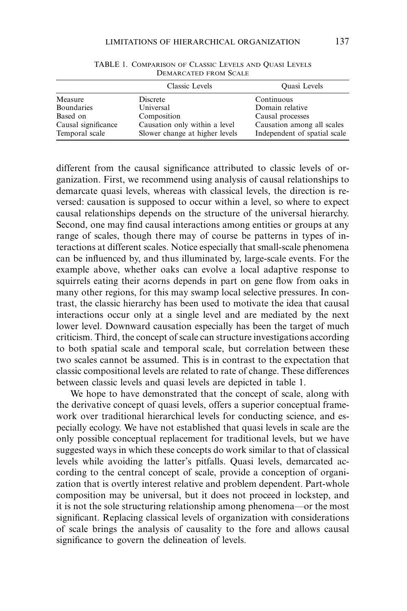|                                       | Classic Levels                                                  | Quasi Levels                                               |
|---------------------------------------|-----------------------------------------------------------------|------------------------------------------------------------|
| Measure                               | Discrete                                                        | Continuous                                                 |
| Boundaries                            | Universal                                                       | Domain relative                                            |
| Based on                              | Composition                                                     | Causal processes                                           |
| Causal significance<br>Temporal scale | Causation only within a level<br>Slower change at higher levels | Causation among all scales<br>Independent of spatial scale |

TABLE 1. COMPARISON OF CLASSIC LEVELS AND QUASI LEVELS DEMARCATED FROM SCALE

different from the causal significance attributed to classic levels of organization. First, we recommend using analysis of causal relationships to demarcate quasi levels, whereas with classical levels, the direction is reversed: causation is supposed to occur within a level, so where to expect causal relationships depends on the structure of the universal hierarchy. Second, one may find causal interactions among entities or groups at any range of scales, though there may of course be patterns in types of interactions at different scales. Notice especially that small-scale phenomena can be influenced by, and thus illuminated by, large-scale events. For the example above, whether oaks can evolve a local adaptive response to squirrels eating their acorns depends in part on gene flow from oaks in many other regions, for this may swamp local selective pressures. In contrast, the classic hierarchy has been used to motivate the idea that causal interactions occur only at a single level and are mediated by the next lower level. Downward causation especially has been the target of much criticism. Third, the concept of scale can structure investigations according to both spatial scale and temporal scale, but correlation between these two scales cannot be assumed. This is in contrast to the expectation that classic compositional levels are related to rate of change. These differences between classic levels and quasi levels are depicted in table 1.

We hope to have demonstrated that the concept of scale, along with the derivative concept of quasi levels, offers a superior conceptual framework over traditional hierarchical levels for conducting science, and especially ecology. We have not established that quasi levels in scale are the only possible conceptual replacement for traditional levels, but we have suggested ways in which these concepts do work similar to that of classical levels while avoiding the latter's pitfalls. Quasi levels, demarcated according to the central concept of scale, provide a conception of organization that is overtly interest relative and problem dependent. Part-whole composition may be universal, but it does not proceed in lockstep, and it is not the sole structuring relationship among phenomena—or the most significant. Replacing classical levels of organization with considerations of scale brings the analysis of causality to the fore and allows causal significance to govern the delineation of levels.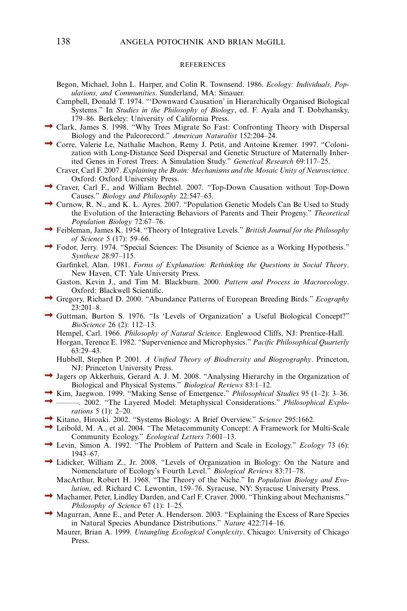## **REFERENCES**

- Begon, Michael, John L. Harper, and Colin R. Townsend. 1986. *Ecology: Individuals, Populations, and Communities*. Sunderland, MA: Sinauer.
- Campbell, Donald T. 1974. "'Downward Causation' in Hierarchically Organised Biological Systems." In *Studies in the Philosophy of Biology*, ed. F. Ayala and T. Dobzhansky, 179–86. Berkeley: University of California Press.
- Clark, James S. 1998. "Why Trees Migrate So Fast: Confronting Theory with Dispersal Biology and the Paleorecord." *American Naturalist* 152:204–24.
- Corre, Valerie Le, Nathalie Machon, Remy J. Petit, and Antoine Kremer. 1997. "Colonization with Long-Distance Seed Dispersal and Genetic Structure of Maternally Inherited Genes in Forest Trees: A Simulation Study." *Genetical Research* 69:117–25.
	- Craver, Carl F. 2007. *Explaining the Brain: Mechanisms and the Mosaic Unity of Neuroscience*. Oxford: Oxford University Press.
- Craver, Carl F., and William Bechtel. 2007. "Top-Down Causation without Top-Down Causes." *Biology and Philosophy* 22:547–63.
- Curnow, R. N., and K. L. Ayres. 2007. "Population Genetic Models Can Be Used to Study the Evolution of the Interacting Behaviors of Parents and Their Progeny." *Theoretical Population Biology* 72:67–76.
- Feibleman, James K. 1954. "Theory of Integrative Levels." *British Journal for the Philosophy of Science* 5 (17): 59–66.
- Fodor, Jerry. 1974. "Special Sciences: The Disunity of Science as a Working Hypothesis." *Synthese* 28:97–115.
	- Garfinkel, Alan. 1981. *Forms of Explanation: Rethinking the Questions in Social Theory*. New Haven, CT: Yale University Press.
	- Gaston, Kevin J., and Tim M. Blackburn. 2000. *Pattern and Process in Macroecology*. Oxford: Blackwell Scientific.
- Gregory, Richard D. 2000. "Abundance Patterns of European Breeding Birds." *Ecography* 23:201–8.
- Guttman, Burton S. 1976. "Is 'Levels of Organization' a Useful Biological Concept?" *BioScience* 26 (2): 112–13.
	- Hempel, Carl. 1966. *Philosophy of Natural Science*. Englewood Cliffs, NJ: Prentice-Hall.
	- Horgan, Terence E. 1982. "Supervenience and Microphysics." *Pacific Philosophical Quarterly* 63:29–43.
	- Hubbell, Stephen P. 2001. *A Unified Theory of Biodiversity and Biogeography*. Princeton, NJ: Princeton University Press.
- Jagers op Akkerhuis, Gerard A. J. M. 2008. "Analysing Hierarchy in the Organization of Biological and Physical Systems." *Biological Reviews* 83:1–12.
- Kim, Jaegwon. 1999. "Making Sense of Emergence." *Philosophical Studies* 95 (1–2): 3–36.
- ———. 2002. "The Layered Model: Metaphysical Considerations." *Philosophical Explorations* 5 (1): 2–20.
- Kitano, Hiroaki. 2002. "Systems Biology: A Brief Overview." *Science* 295:1662.
- Leibold, M. A., et al. 2004. "The Metacommunity Concept: A Framework for Multi-Scale Community Ecology." *Ecological Letters* 7:601–13.
- Levin, Simon A. 1992. "The Problem of Pattern and Scale in Ecology." *Ecology* 73 (6): 1943–67.
- Lidicker, William Z., Jr. 2008. "Levels of Organization in Biology: On the Nature and Nomenclature of Ecology's Fourth Level." *Biological Reviews* 83:71–78.
	- MacArthur, Robert H. 1968. "The Theory of the Niche." In *Population Biology and Evolution*, ed. Richard C. Lewontin, 159–76. Syracuse, NY: Syracuse University Press.
- Machamer, Peter, Lindley Darden, and Carl F. Craver. 2000. "Thinking about Mechanisms." *Philosophy of Science* 67 (1): 1–25.
- $\rightarrow$  Magurran, Anne E., and Peter A. Henderson. 2003. "Explaining the Excess of Rare Species in Natural Species Abundance Distributions." *Nature* 422:714–16.
	- Maurer, Brian A. 1999. *Untangling Ecological Complexity*. Chicago: University of Chicago Press.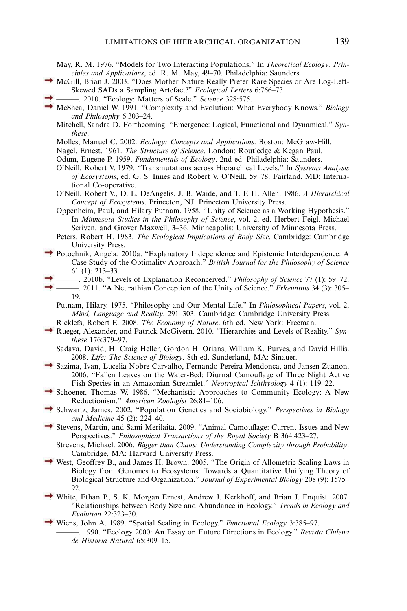- May, R. M. 1976. "Models for Two Interacting Populations." In *Theoretical Ecology: Principles and Applications*, ed. R. M. May, 49–70. Philadelphia: Saunders.
- McGill, Brian J. 2003. "Does Mother Nature Really Prefer Rare Species or Are Log-Left-Skewed SADs a Sampling Artefact?" *Ecological Letters* 6:766–73.
	- ———. 2010. "Ecology: Matters of Scale." *Science* 328:575.
- McShea, Daniel W. 1991. "Complexity and Evolution: What Everybody Knows." *Biology and Philosophy* 6:303–24.
	- Mitchell, Sandra D. Forthcoming. "Emergence: Logical, Functional and Dynamical." *Synthese*.
	- Molles, Manuel C. 2002. *Ecology: Concepts and Applications*. Boston: McGraw-Hill.
	- Nagel, Ernest. 1961. *The Structure of Science*. London: Routledge & Kegan Paul.
	- Odum, Eugene P. 1959. *Fundamentals of Ecology*. 2nd ed. Philadelphia: Saunders.
	- O'Neill, Robert V. 1979. "Transmutations across Hierarchical Levels." In *Systems Analysis of Ecosystems*, ed. G. S. Innes and Robert V. O'Neill, 59–78. Fairland, MD: International Co-operative.
	- O'Neill, Robert V., D. L. DeAngelis, J. B. Waide, and T. F. H. Allen. 1986. *A Hierarchical Concept of Ecosystems*. Princeton, NJ: Princeton University Press.
	- Oppenheim, Paul, and Hilary Putnam. 1958. "Unity of Science as a Working Hypothesis." In *Minnesota Studies in the Philosophy of Science*, vol. 2, ed. Herbert Feigl, Michael Scriven, and Grover Maxwell, 3–36. Minneapolis: University of Minnesota Press.
	- Peters, Robert H. 1983. *The Ecological Implications of Body Size*. Cambridge: Cambridge University Press.
- Potochnik, Angela. 2010a. "Explanatory Independence and Epistemic Interdependence: A Case Study of the Optimality Approach." *British Journal for the Philosophy of Science* 61 (1): 213–33.
- ———. 2010b. "Levels of Explanation Reconceived." *Philosophy of Science* 77 (1): 59–72.
	- ———. 2011. "A Neurathian Conception of the Unity of Science." *Erkenntnis* 34 (3): 305– 19.
		- Putnam, Hilary. 1975. "Philosophy and Our Mental Life." In *Philosophical Papers*, vol. 2, *Mind, Language and Reality*, 291–303. Cambridge: Cambridge University Press.
	- Ricklefs, Robert E. 2008. *The Economy of Nature*. 6th ed. New York: Freeman.
- Rueger, Alexander, and Patrick McGivern. 2010. "Hierarchies and Levels of Reality." *Synthese* 176:379–97.
	- Sadava, David, H. Craig Heller, Gordon H. Orians, William K. Purves, and David Hillis. 2008. *Life: The Science of Biology*. 8th ed. Sunderland, MA: Sinauer.
- Sazima, Ivan, Lucelia Nobre Carvalho, Fernando Pereira Mendonca, and Jansen Zuanon. 2006. "Fallen Leaves on the Water-Bed: Diurnal Camouflage of Three Night Active Fish Species in an Amazonian Streamlet." *Neotropical Ichthyology* 4 (1): 119–22.
- Schoener, Thomas W. 1986. "Mechanistic Approaches to Community Ecology: A New Reductionism." *American Zoologist* 26:81–106.
- Schwartz, James. 2002. "Population Genetics and Sociobiology." *Perspectives in Biology and Medicine* 45 (2): 224–40.
- $\rightarrow$  Stevens, Martin, and Sami Merilaita. 2009. "Animal Camouflage: Current Issues and New Perspectives." *Philosophical Transactions of the Royal Society* B 364:423–27.
	- Strevens, Michael. 2006. *Bigger than Chaos: Understanding Complexity through Probability*. Cambridge, MA: Harvard University Press.
- West, Geoffrey B., and James H. Brown. 2005. "The Origin of Allometric Scaling Laws in Biology from Genomes to Ecosystems: Towards a Quantitative Unifying Theory of Biological Structure and Organization." *Journal of Experimental Biology* 208 (9): 1575– 92.
- White, Ethan P., S. K. Morgan Ernest, Andrew J. Kerkhoff, and Brian J. Enquist. 2007. "Relationships between Body Size and Abundance in Ecology." *Trends in Ecology and Evolution* 22:323–30.
- Wiens, John A. 1989. "Spatial Scaling in Ecology." *Functional Ecology* 3:385–97.
	- ———. 1990. "Ecology 2000: An Essay on Future Directions in Ecology." *Revista Chilena de Historia Natural* 65:309–15.